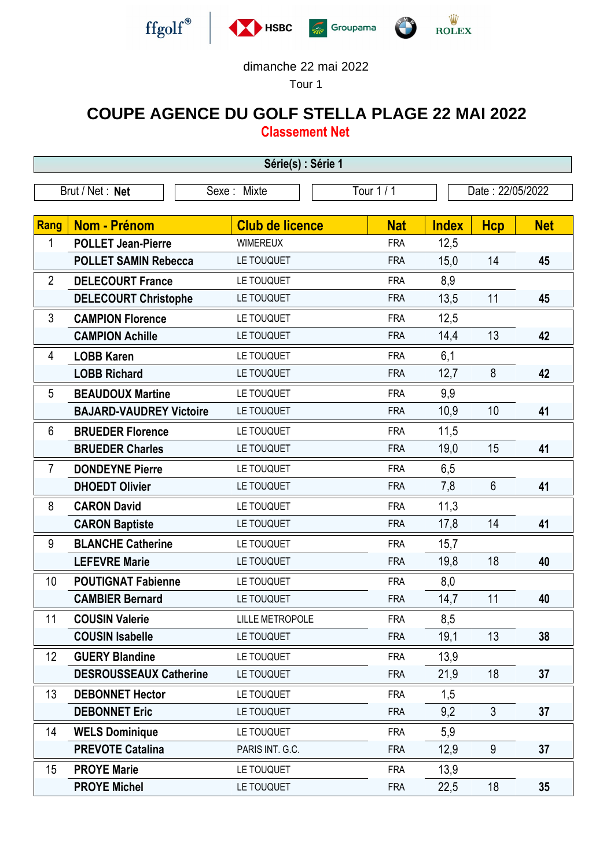







## dimanche 22 mai 2022

Tour 1

## **COUPE AGENCE DU GOLF STELLA PLAGE 22 MAI 2022**

**Classement Net**

| Série(s) : Série 1 |                                |                        |            |              |                  |            |  |  |  |
|--------------------|--------------------------------|------------------------|------------|--------------|------------------|------------|--|--|--|
| Brut / Net: Net    |                                | Sexe: Mixte            | Tour 1 / 1 |              | Date: 22/05/2022 |            |  |  |  |
| <b>Rang</b>        | <b>Nom - Prénom</b>            | <b>Club de licence</b> | <b>Nat</b> | <b>Index</b> | <b>Hcp</b>       | <b>Net</b> |  |  |  |
| 1                  | <b>POLLET Jean-Pierre</b>      | <b>WIMEREUX</b>        | <b>FRA</b> | 12,5         |                  |            |  |  |  |
|                    | <b>POLLET SAMIN Rebecca</b>    | LE TOUQUET             | <b>FRA</b> | 15,0         | 14               | 45         |  |  |  |
| $\overline{2}$     | <b>DELECOURT France</b>        | LE TOUQUET             | <b>FRA</b> | 8,9          |                  |            |  |  |  |
|                    | <b>DELECOURT Christophe</b>    | LE TOUQUET             | <b>FRA</b> | 13,5         | 11               | 45         |  |  |  |
| 3                  | <b>CAMPION Florence</b>        | LE TOUQUET             | <b>FRA</b> | 12,5         |                  |            |  |  |  |
|                    | <b>CAMPION Achille</b>         | LE TOUQUET             | <b>FRA</b> | 14,4         | 13               | 42         |  |  |  |
| 4                  | <b>LOBB Karen</b>              | LE TOUQUET             | <b>FRA</b> | 6,1          |                  |            |  |  |  |
|                    | <b>LOBB Richard</b>            | LE TOUQUET             | <b>FRA</b> | 12,7         | 8                | 42         |  |  |  |
| 5                  | <b>BEAUDOUX Martine</b>        | LE TOUQUET             | <b>FRA</b> | 9,9          |                  |            |  |  |  |
|                    | <b>BAJARD-VAUDREY Victoire</b> | LE TOUQUET             | <b>FRA</b> | 10,9         | 10               | 41         |  |  |  |
| 6                  | <b>BRUEDER Florence</b>        | LE TOUQUET             | <b>FRA</b> | 11,5         |                  |            |  |  |  |
|                    | <b>BRUEDER Charles</b>         | LE TOUQUET             | <b>FRA</b> | 19,0         | 15               | 41         |  |  |  |
| $\overline{7}$     | <b>DONDEYNE Pierre</b>         | LE TOUQUET             | <b>FRA</b> | 6,5          |                  |            |  |  |  |
|                    | <b>DHOEDT Olivier</b>          | LE TOUQUET             | <b>FRA</b> | 7,8          | 6                | 41         |  |  |  |
| 8                  | <b>CARON David</b>             | LE TOUQUET             | <b>FRA</b> | 11,3         |                  |            |  |  |  |
|                    | <b>CARON Baptiste</b>          | LE TOUQUET             | <b>FRA</b> | 17,8         | 14               | 41         |  |  |  |
| 9                  | <b>BLANCHE Catherine</b>       | LE TOUQUET             | <b>FRA</b> | 15,7         |                  |            |  |  |  |
|                    | <b>LEFEVRE Marie</b>           | LE TOUQUET             | <b>FRA</b> | 19,8         | 18               | 40         |  |  |  |
| 10                 | <b>POUTIGNAT Fabienne</b>      | LE TOUQUET             | <b>FRA</b> | 8,0          |                  |            |  |  |  |
|                    | <b>CAMBIER Bernard</b>         | LE TOUQUET             | <b>FRA</b> | 14,7         | 11               | 40         |  |  |  |
| 11                 | <b>COUSIN Valerie</b>          | <b>LILLE METROPOLE</b> | <b>FRA</b> | 8,5          |                  |            |  |  |  |
|                    | <b>COUSIN Isabelle</b>         | LE TOUQUET             | <b>FRA</b> | 19,1         | 13               | 38         |  |  |  |
| 12                 | <b>GUERY Blandine</b>          | LE TOUQUET             | <b>FRA</b> | 13,9         |                  |            |  |  |  |
|                    | <b>DESROUSSEAUX Catherine</b>  | LE TOUQUET             | <b>FRA</b> | 21,9         | 18               | 37         |  |  |  |
| 13                 | <b>DEBONNET Hector</b>         | LE TOUQUET             | <b>FRA</b> | 1,5          |                  |            |  |  |  |
|                    | <b>DEBONNET Eric</b>           | LE TOUQUET             | <b>FRA</b> | 9,2          | 3                | 37         |  |  |  |
| 14                 | <b>WELS Dominique</b>          | LE TOUQUET             | <b>FRA</b> | 5,9          |                  |            |  |  |  |
|                    | <b>PREVOTE Catalina</b>        | PARIS INT. G.C.        | <b>FRA</b> | 12,9         | $9\,$            | 37         |  |  |  |
| 15                 | <b>PROYE Marie</b>             | LE TOUQUET             | <b>FRA</b> | 13,9         |                  |            |  |  |  |
|                    | <b>PROYE Michel</b>            | LE TOUQUET             | <b>FRA</b> | 22,5         | 18               | 35         |  |  |  |